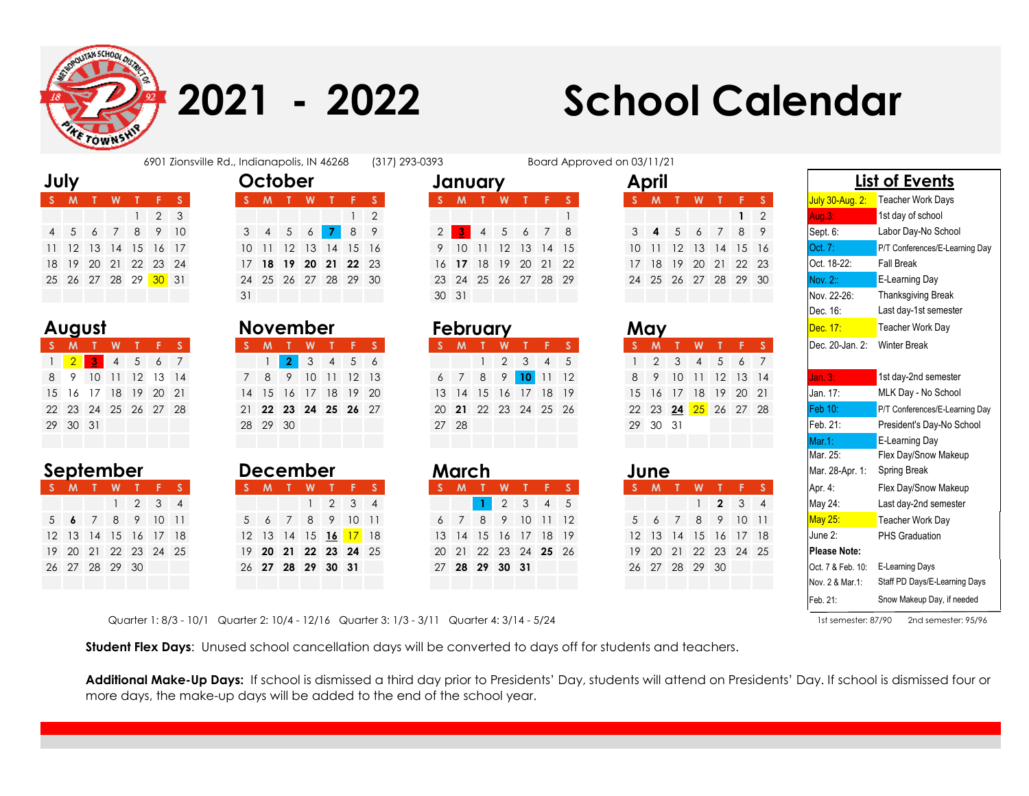

**July** 

August

**2021 - 2022**

## **School Calendar**

|  |  | 6901 Zionsville Rd., Indianapolis, IN 46268 | (317) |
|--|--|---------------------------------------------|-------|
|--|--|---------------------------------------------|-------|

| luly |     |   |                                       |  |  |     | October                    |    |  |                      | January       |              |   |                      |  |                      | April                |                |          |         |                      |                              |
|------|-----|---|---------------------------------------|--|--|-----|----------------------------|----|--|----------------------|---------------|--------------|---|----------------------|--|----------------------|----------------------|----------------|----------|---------|----------------------|------------------------------|
|      | S M | W |                                       |  |  | S M |                            | W' |  |                      |               | $\mathbf{M}$ | W |                      |  |                      | M                    |                | <b>W</b> |         |                      | <mark>July 30-Aug. 2:</mark> |
|      |     |   | $1\quad 2\quad 3$                     |  |  |     |                            |    |  | $1 \quad 2$          |               |              |   |                      |  |                      |                      |                |          |         | $1 \quad 2$          | Aug. $3:$                    |
|      |     |   | 4 5 6 7 8 9 10                        |  |  |     | 3 4 5 6 <mark>7</mark> 8 9 |    |  |                      | 2 I           | $-3 -$       |   | 4 5 6 7 8            |  |                      | $3 \quad 4$          | 5 <sup>5</sup> |          | 6 7 8 9 |                      | Sept. 6:                     |
|      |     |   | 1 12 13 14 15 16 17                   |  |  |     |                            |    |  | 10 11 12 13 14 15 16 |               |              |   | 9 10 11 12 13 14 15  |  |                      | 10 11 12 13 14 15 16 |                |          |         |                      | Oct. 7:                      |
|      |     |   | 8 19 20 21 22 23 24                   |  |  |     |                            |    |  | 17 18 19 20 21 22 23 |               |              |   | 16 17 18 19 20 21 22 |  |                      |                      |                |          |         | 17 18 19 20 21 22 23 | Oct. 18-22:                  |
|      |     |   | 25  26  27  28  29 <mark>30</mark> 31 |  |  |     |                            |    |  | 24 25 26 27 28 29 30 |               |              |   | 23 24 25 26 27 28 29 |  | 24 25 26 27 28 29 30 |                      |                |          |         |                      | <b>Nov. 2::</b>              |
|      |     |   |                                       |  |  |     |                            |    |  |                      | $30 \quad 31$ |              |   |                      |  |                      |                      |                |          |         |                      | Nov 22-26                    |

| August               |   |  |  |       | <b>November</b> |  |                      | <b>February</b>      |  |                                 |      |  |  |     | May      |                             |                |  |     | Dec. 17:        |
|----------------------|---|--|--|-------|-----------------|--|----------------------|----------------------|--|---------------------------------|------|--|--|-----|----------|-----------------------------|----------------|--|-----|-----------------|
| S M T                | W |  |  | S M T |                 |  | WTFS                 | $S$ $M$              |  |                                 | / W. |  |  | S M |          |                             | <b>W</b>       |  |     | Dec. 20-Jan. 2: |
| 1 2 3 4 5 6 7        |   |  |  |       |                 |  | 1 2 3 4 5 6          |                      |  | $1\quad 2\quad 3\quad 4\quad 5$ |      |  |  |     |          | $1\quad 2\quad 3$           | $\overline{4}$ |  | 567 |                 |
| 8 9 10 11 12 13 14   |   |  |  |       |                 |  | 7 8 9 10 11 12 13    | 6 7 8 9 10 11 12     |  |                                 |      |  |  |     |          | 8 9 10 11 12 13 14          |                |  |     | Jan.3:          |
| 15 16 17 18 19 20 21 |   |  |  |       |                 |  | 14 15 16 17 18 19 20 | 13 14 15 16 17 18 19 |  |                                 |      |  |  |     |          | 15 16 17 18 19 20 21        |                |  |     | Jan. 17:        |
| 22 23 24 25 26 27 28 |   |  |  |       |                 |  | 21 22 23 24 25 26 27 | 20 21 22 23 24 25 26 |  |                                 |      |  |  |     |          | 22 23 <b>24 25</b> 26 27 28 |                |  |     | <b>Feb 10:</b>  |
| 29 30 31             |   |  |  |       | 28 29 30        |  |                      | 27 28                |  |                                 |      |  |  |     | 29 30 31 |                             |                |  |     | Feb. 21:        |

| ber             |  |  | <b>December</b>      |   |                             |  |          | March                |                          |  |                      | June |                      |   |                             | Mar. 28-Apr. 1:                   | Spring Break          |
|-----------------|--|--|----------------------|---|-----------------------------|--|----------|----------------------|--------------------------|--|----------------------|------|----------------------|---|-----------------------------|-----------------------------------|-----------------------|
| WTFS            |  |  |                      | W |                             |  | <b>M</b> |                      |                          |  |                      |      |                      | W | ' FS                        | Apr. 4:                           | Flex Day/Snow Makeu   |
| $1 \t2 \t3 \t4$ |  |  |                      |   | $1 \quad 2 \quad 3 \quad 4$ |  |          |                      | $2 \mid 3 \mid 4 \mid 5$ |  |                      |      |                      |   | $1 \quad 2 \quad 3 \quad 4$ | May 24:                           | Last day-2nd semester |
| 8 9 10 11       |  |  | 567                  |   | 8 9 10 11                   |  |          | 6 7 8                | 9 10 11 12               |  |                      |      | 5 6 7 8 9 10 11      |   |                             | May 25:                           | Teacher Work Day      |
| 15 16 17 18     |  |  | 12 13 14 15 16 17 18 |   |                             |  |          | 13 14 15 16 17 18 19 |                          |  | 12 13 14 15 16 17 18 |      |                      |   |                             | June 2:                           | <b>PHS Graduation</b> |
| 22 23 24 25     |  |  | 19 20 21 22 23 24 25 |   |                             |  |          | 20 21 22 23 24 25 26 |                          |  |                      |      | 19 20 21 22 23 24 25 |   |                             | Please Note:                      |                       |
| 29 30           |  |  | 26 27 28 29 30 31    |   |                             |  |          | 27 28 29 30 31       |                          |  |                      |      | 26 27 28 29 30       |   |                             | Oct. 7 & Feb. 10: E-Learning Days |                       |
|                 |  |  |                      |   |                             |  |          |                      |                          |  |                      |      |                      |   |                             |                                   |                       |

|   | January |       |                      |   | April |           |
|---|---------|-------|----------------------|---|-------|-----------|
| s |         | $M$ T | <b>WTF</b>           | s | 'S    |           |
|   |         |       |                      | 1 |       |           |
|   |         |       | 2 3 4 5 6 7 8        |   | 3     |           |
| 9 |         |       | 10 11 12 13 14 15    |   | 10    |           |
|   |         |       | 16 17 18 19 20 21 22 |   | 17    | <b>18</b> |
|   |         |       | 23 24 25 26 27 28 29 |   | 24    | 25        |
|   | 30 31   |       |                      |   |       |           |

|       | February                                                              |  |   |  |  |  |  |  |  |  |  |  |  |  |  |
|-------|-----------------------------------------------------------------------|--|---|--|--|--|--|--|--|--|--|--|--|--|--|
|       | м                                                                     |  | W |  |  |  |  |  |  |  |  |  |  |  |  |
|       | $\overline{2}$<br>$\cdot$ 3<br>$\mathbf{1}$<br>4<br>9 10 11<br>8<br>7 |  |   |  |  |  |  |  |  |  |  |  |  |  |  |
| 6     | -12<br>13 14 15 16 17 18 19                                           |  |   |  |  |  |  |  |  |  |  |  |  |  |  |
|       |                                                                       |  |   |  |  |  |  |  |  |  |  |  |  |  |  |
|       | 20 21 22 23 24 25 26                                                  |  |   |  |  |  |  |  |  |  |  |  |  |  |  |
| 27 28 |                                                                       |  |   |  |  |  |  |  |  |  |  |  |  |  |  |
|       |                                                                       |  |   |  |  |  |  |  |  |  |  |  |  |  |  |

|    | March |                |                |                   |           |                |
|----|-------|----------------|----------------|-------------------|-----------|----------------|
|    | м     |                | W              |                   |           |                |
|    |       | $\mathbf{1}$   | $\overline{2}$ | 3                 | 4         | $\overline{5}$ |
| 6  | 7     | 8              | 9              |                   | 1011      | 12             |
|    |       |                |                | 13 14 15 16 17    | <b>18</b> | 19             |
| 20 |       |                |                | 21 22 23 24 25 26 |           |                |
|    |       | 27 28 29 30 31 |                |                   |           |                |
|    |       |                |                |                   |           |                |

|    | ndianapolis, IN 46268       |    |    |                |                      |                                  | (317) 293-0393 |   |                      |                |                |    |                   |              | Board Approved on 03/11/21 |    |              |               |                |                |                      |                |                |
|----|-----------------------------|----|----|----------------|----------------------|----------------------------------|----------------|---|----------------------|----------------|----------------|----|-------------------|--------------|----------------------------|----|--------------|---------------|----------------|----------------|----------------------|----------------|----------------|
|    | October                     |    |    |                |                      |                                  |                |   | January              |                |                |    |                   |              |                            |    | April        |               |                |                |                      |                |                |
|    | S M T                       |    | W  |                |                      | <b>S</b>                         |                |   | M                    |                | W              |    |                   | $^{\circ}$ S |                            |    | $\mathsf{M}$ |               | W              |                | F.                   | l S'           | July 30-Aug    |
|    |                             |    |    |                |                      | $\begin{array}{ccc} \end{array}$ |                |   |                      |                |                |    |                   |              |                            |    |              |               |                |                | $\mathbf{1}$         | $\overline{2}$ | Aug.3:         |
|    | $3 \quad 4 \quad 5 \quad 6$ |    |    | $\overline{7}$ | 8 9                  |                                  |                | 2 | 3 <sub>1</sub>       | $\overline{4}$ | 5 <sup>5</sup> |    | $6\quad 7\quad 8$ |              |                            |    | 4            | .5            | 6 <sup>6</sup> | 7 <sup>7</sup> | 8                    | - 9            | Sept. 6:       |
|    | $10 \quad 11$               | 12 | 13 | $-14-$         | 15 16                |                                  |                |   | 10                   | 11             | 12             |    | 13 14 15          |              |                            | 10 |              |               | 12 13          | 14             | 15 16                |                | Oct. 7:        |
|    |                             |    |    |                | 17 18 19 20 21 22 23 |                                  |                |   | 16 17                | 18             | <sup>19</sup>  | 20 | 21                | 22           |                            | 17 | 18           | <sup>19</sup> | 20             | 21             | 22 23                |                | Oct. 18-22:    |
|    |                             |    |    |                | 24 25 26 27 28 29 30 |                                  |                |   | 23 24 25 26 27 28 29 |                |                |    |                   |              |                            |    |              |               |                |                | 24 25 26 27 28 29 30 |                | Nov. 2::       |
| 31 |                             |    |    |                |                      |                                  |                |   | 30 31                |                |                |    |                   |              |                            |    |              |               |                |                |                      |                | Nov. 22-26:    |
|    |                             |    |    |                |                      |                                  |                |   |                      |                |                |    |                   |              |                            |    |              |               |                |                |                      |                | $\overline{a}$ |

|    |       | February |                |    |    |                 |
|----|-------|----------|----------------|----|----|-----------------|
|    | M     |          | W              |    | F  | $\mathsf{S}^-$  |
|    |       | 1        | $\overline{2}$ | 3  | 4  | 5               |
| 6  | 7     | 8        | 9              | 10 | 11 | 12 <sup>2</sup> |
| 13 | 14    | 15       | 16             | 17 | 18 | 19              |
| 20 | 21    | 22       | 23             | 24 | 25 | 26              |
| 27 | 28    |          |                |    |    |                 |
|    |       |          |                |    |    |                 |
|    |       |          |                |    |    |                 |
|    | March |          |                |    |    |                 |
| S  | М     |          | W              |    | F  | S               |
|    |       |          | $\overline{2}$ | 3  | 4  | 5               |
| 6  | 7     | 8        | 9              | 10 | 11 | 12              |
| 13 | 14    | 15       | 16             | 17 | 18 | 19              |
| 20 | 21    | 22       | 23             | 24 | 25 | 26              |
| 27 | 28    | 29       | 30             | 31 |    |                 |
|    |       |          |                |    |    |                 |

|                | $\mathbf{M}$ | <b>T</b> | W              |    |                | $\mathbf{S}$    | <b>S</b>        | M              |                 | W        |                |              | S.              | -S.            | M            |                 | W        |                 | F.             | <b>S</b>      | <b>S</b>        | M                |    | W              |                | F.            | <b>S</b>       | July 30-Aug. 2:   | <b>Teacher Work Days</b>       |
|----------------|--------------|----------|----------------|----|----------------|-----------------|-----------------|----------------|-----------------|----------|----------------|--------------|-----------------|----------------|--------------|-----------------|----------|-----------------|----------------|---------------|-----------------|------------------|----|----------------|----------------|---------------|----------------|-------------------|--------------------------------|
|                |              |          |                |    | $\overline{2}$ | 3               |                 |                |                 |          |                |              | $\overline{2}$  |                |              |                 |          |                 |                |               |                 |                  |    |                |                |               | $\overline{2}$ | Aug.3:            | 1st day of school              |
| $\overline{4}$ | $5^{\circ}$  | 6        |                | 8  | 9              | 10              | 3               | $\overline{4}$ | 5               | 6        |                | 8            | 9               | $2 \mid$       | $3 -$        | $\overline{4}$  | 5        | 6               | $\overline{7}$ | 8             | 3               | $\boldsymbol{A}$ | 5  | 6              | $\overline{7}$ | 8             | 9              | Sept. 6:          | Labor Day-No School            |
|                | 11 12        | 13       | 14             | 15 | 16 17          |                 | 10 <sup>°</sup> | 11             | 12              | 13       | 14             | 15           | -16             | 9              | 10           |                 | 12       | 13              | 14 15          |               | 10 <sup>°</sup> | 11               | 12 | 13             | 14             |               | 15 16          | Oct. 7:           | P/T Conferences/E-Learning Day |
|                | 18 19        | 20       | 21             | 22 | 23             | 24              | 17              | 18             | 19              | 20       | 21             | 22           | 23              | 16             | 17           | 18              | 19       | 20              | 21             | 22            | 17              | 18               | 19 | 20 21          |                |               | 22 23          | Oct. 18-22:       | <b>Fall Break</b>              |
|                | 25 26        | 27       | 28             | 29 | $30\quad 31$   |                 | 24              | 25             | 26              | 27       | 28             | 29           | 30              | 23             | 24           | 25              | 26       | 27              | 28             | 29            | 24              | 25               | 26 | 27             | 28             |               | 29 30          | Nov. 2::          | E-Learning Day                 |
|                |              |          |                |    |                |                 | 31              |                |                 |          |                |              |                 |                | 30 31        |                 |          |                 |                |               |                 |                  |    |                |                |               |                | Nov. 22-26:       | <b>Thanksgiving Break</b>      |
|                |              |          |                |    |                |                 |                 |                |                 |          |                |              |                 |                |              |                 |          |                 |                |               |                 |                  |    |                |                |               |                | Dec. 16:          | Last day-1st semester          |
|                | August       |          |                |    |                |                 |                 |                | <b>November</b> |          |                |              |                 |                |              | <b>February</b> |          |                 |                |               |                 | May              |    |                |                |               |                | Dec. 17:          | <b>Teacher Work Day</b>        |
|                | - M          |          | W              |    |                | S               | <b>S</b>        | M              |                 | W        |                | F.           | S.              |                | M            |                 | W        |                 |                | $^{\circ}$ S  | S.              | M                |    | W              |                | F.            | S              | Dec. 20-Jan. 2:   | <b>Winter Break</b>            |
|                | $\sqrt{2}$ . | $3 -$    | $\overline{4}$ | 5  | 6              | $\overline{7}$  |                 |                | 2 <sup>1</sup>  | 3        | $\overline{4}$ | 5            | 6               |                |              |                 | 2        | 3               | $\overline{4}$ | 5             |                 | $\overline{2}$   | 3  | $\overline{4}$ | $5^{\circ}$    | 6             | 7              |                   |                                |
| 8              | -9           | 10       |                | 12 | 13             | 14              |                 | 8              | 9               | 10       |                | 12           | 13              | 6              |              | 8               | 9        | 10 <sup>°</sup> |                | 12            | 8               | 9                | 10 | -11            | 12             |               | 13 14          | Jan. $3:$         | 1st day-2nd semester           |
|                | 15 16        | 17       | 18             | 19 | 20             | 21              |                 | 14 15          | 16              | 17       | 18             | 19           | 20              | 13             | 14           | 15              | 16       | 17              | 18             | <sup>19</sup> | 15              | 16               | 17 | 18             | 19             | 20 21         |                | Jan. 17:          | MLK Day - No School            |
|                | 22 23        | 24       | 25 26          |    | 27             | -28             | 21              | 22             | 23              | 24 25 26 |                |              | 27              | 20             | 21           | 22              | 23       | 24              | 25 26          |               | 22              | 23               | 24 | 25             | 26             |               | 27 28          | Feb 10:           | P/T Conferences/E-Learning Day |
| 29             | 30 31        |          |                |    |                |                 | 28              | 29 30          |                 |          |                |              |                 |                | 27 28        |                 |          |                 |                |               | 29              | 30 31            |    |                |                |               |                | Feb. 21:          | President's Day-No School      |
|                |              |          |                |    |                |                 |                 |                |                 |          |                |              |                 |                |              |                 |          |                 |                |               |                 |                  |    |                |                |               |                | Mar.1:            | E-Learning Day                 |
|                |              |          |                |    |                |                 |                 |                |                 |          |                |              |                 |                |              |                 |          |                 |                |               |                 |                  |    |                |                |               |                | Mar. 25:          | Flex Day/Snow Makeup           |
|                |              |          | September      |    |                |                 |                 |                | <b>December</b> |          |                |              |                 |                |              | March           |          |                 |                |               |                 | June             |    |                |                |               |                | Mar. 28-Apr. 1:   | Spring Break                   |
|                | - M          |          | W              |    |                | -S.             |                 |                |                 | W        |                |              | S.              | -S.            | $\mathsf{M}$ |                 | W        |                 | F.             | $^{\circ}$ S  |                 | M                |    | W              |                | F.            | <b>VS</b>      | Apr. 4:           | Flex Day/Snow Makeup           |
|                |              |          |                | 2  | 3              | $\overline{4}$  |                 |                |                 |          | $\overline{2}$ | $\mathbf{3}$ | $\overline{4}$  |                |              | $\mathbf{1}$    | 2        | 3               | $\overline{4}$ | 5             |                 |                  |    |                | $\overline{2}$ | $\mathcal{S}$ | $\overline{4}$ | May 24:           | Last day-2nd semester          |
| 5              | - 6          |          | 8              | 9  | 10             | $\overline{11}$ | $5^{\circ}$     | 6              | $\overline{7}$  | 8        | 9              | 10           | $\overline{11}$ | 6 <sup>6</sup> |              | 8               | 9        | 10              | $11 \quad 12$  |               | 5               | 6                |    | 8              | 9              | $10$ 11       |                | May 25:           | Teacher Work Day               |
|                | 12 13        | 14       | 15 16          |    | 17 18          |                 |                 | 12 13 14       |                 | 15       | 16             |              | 18              | 13             | 14           | 15              | 16       | 17              | 18 19          |               | 12              | 13               | 14 | 15 16          |                | 17 18         |                | June 2:           | PHS Graduation                 |
|                | 19 20        | 21       | 22 23          |    | 24 25          |                 | 19              | 20             | 21              |          | 22 23 24       |              | 25              | 20             | 21           | 22              | 23       |                 | 24 25 26       |               | 19              | 20               | 21 |                | 22 23 24 25    |               |                | Please Note:      |                                |
|                | 26 27 28     |          | 29 30          |    |                |                 | 26              |                | 27 28 29 30 31  |          |                |              |                 | 27             | 28           |                 | 29 30 31 |                 |                |               | 26              | 27               | 28 | 29 30          |                |               |                | Oct. 7 & Feb. 10: | E-Learning Days                |
|                |              |          |                |    |                |                 |                 |                |                 |          |                |              |                 |                |              |                 |          |                 |                |               |                 |                  |    |                |                |               |                | Nov. 2 & Mar.1:   | Staff PD Days/E-Learning Days  |
|                |              |          |                |    |                |                 |                 |                |                 |          |                |              |                 |                |              |                 |          |                 |                |               |                 |                  |    |                |                |               |                | Feb. 21:          | Snow Makeup Day, if needed     |
|                |              |          |                |    |                |                 |                 |                |                 |          |                |              |                 |                |              |                 |          |                 |                |               |                 |                  |    |                |                |               |                |                   |                                |

**List of Events**

Quarter 1: 8/3 - 10/1 Quarter 2: 10/4 - 12/16 Quarter 3: 1/3 - 3/11 Quarter 4: 3/14 - 5/24 1st semester: 87/90 2nd semester: 95/96

**Student Flex Days**: Unused school cancellation days will be converted to days off for students and teachers.

**Additional Make-Up Days:** If school is dismissed a third day prior to Presidents' Day, students will attend on Presidents' Day. If school is dismissed four or more days, the make-up days will be added to the end of the school year.